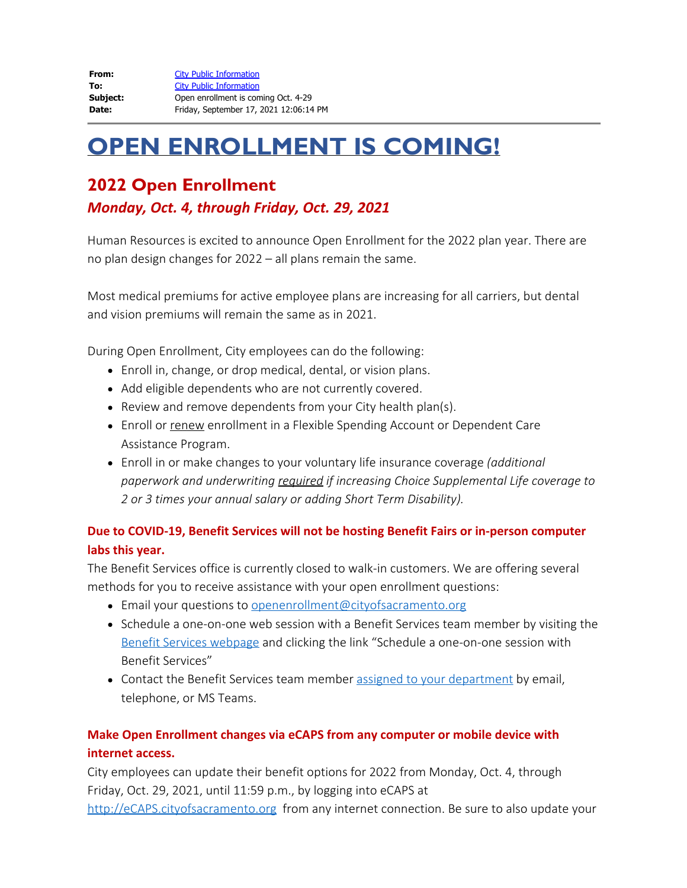| From:    | <b>City Public Information</b>         |
|----------|----------------------------------------|
| To:      | <b>City Public Information</b>         |
| Subject: | Open enrollment is coming Oct. 4-29    |
| Date:    | Friday, September 17, 2021 12:06:14 PM |

# **OPEN ENROLLMENT IS COMING!**

## **2022 Open Enrollment**

### *Monday, Oct. 4, through Friday, Oct. 29, 2021*

Human Resources is excited to announce Open Enrollment for the 2022 plan year. There are no plan design changes for 2022 – all plans remain the same.

Most medical premiums for active employee plans are increasing for all carriers, but dental and vision premiums will remain the same as in 2021.

During Open Enrollment, City employees can do the following:

- Enroll in, change, or drop medical, dental, or vision plans.
- Add eligible dependents who are not currently covered.
- Review and remove dependents from your City health plan(s).
- Enroll or renew enrollment in a Flexible Spending Account or Dependent Care Assistance Program.
- Enroll in or make changes to your voluntary life insurance coverage *(additional paperwork and underwriting required if increasing Choice Supplemental Life coverage to 2 or 3 times your annual salary or adding Short Term Disability).*

#### **Due to COVID-19, Benefit Services will not be hosting Benefit Fairs or in-person computer labs this year.**

The Benefit Services office is currently closed to walk-in customers. We are offering several methods for you to receive assistance with your open enrollment questions:

- **Email your questions to [openenrollment@cityofsacramento.org](mailto:openenrollment@cityofsacramento.org)**
- Schedule a one-on-one web session with a Benefit Services team member by visiting the [Benefit Services webpage](http://www.cityofsacramento.org/HR/Divisions/Benefits-Retirement) and clicking the link "Schedule a one-on-one session with Benefit Services"
- Contact the Benefit Services team member [assigned to your department](https://nexus.cityofsacramento.org/Departments/HR/Divisions/Benefits) by email, telephone, or MS Teams.

#### **Make Open Enrollment changes via eCAPS from any computer or mobile device with internet access.**

City employees can update their benefit options for 2022 from Monday, Oct. 4, through Friday, Oct. 29, 2021, until 11:59 p.m., by logging into eCAPS at

[http://eCAPS.cityofsacramento.org](http://ecaps.cityofsacramento.org/) from any internet connection. Be sure to also update your